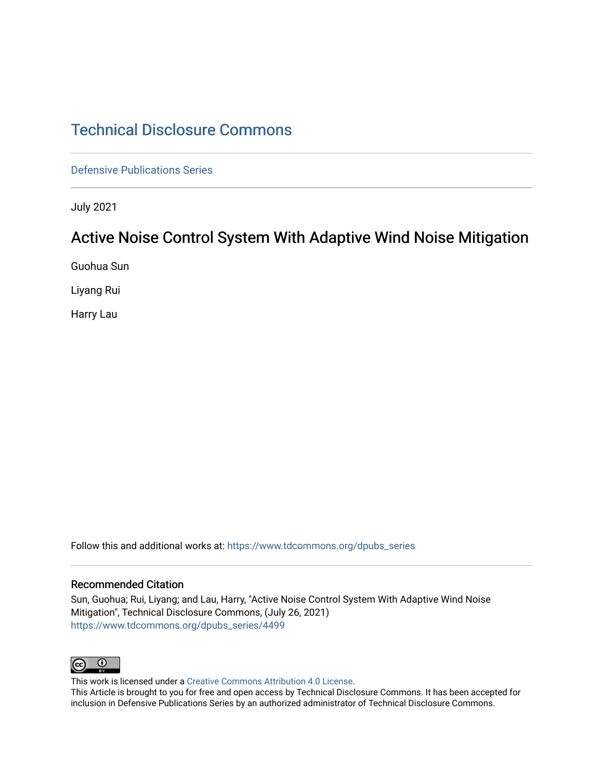# [Technical Disclosure Commons](https://www.tdcommons.org/)

[Defensive Publications Series](https://www.tdcommons.org/dpubs_series)

July 2021

## Active Noise Control System With Adaptive Wind Noise Mitigation

Guohua Sun

Liyang Rui

Harry Lau

Follow this and additional works at: [https://www.tdcommons.org/dpubs\\_series](https://www.tdcommons.org/dpubs_series?utm_source=www.tdcommons.org%2Fdpubs_series%2F4499&utm_medium=PDF&utm_campaign=PDFCoverPages) 

### Recommended Citation

Sun, Guohua; Rui, Liyang; and Lau, Harry, "Active Noise Control System With Adaptive Wind Noise Mitigation", Technical Disclosure Commons, (July 26, 2021) [https://www.tdcommons.org/dpubs\\_series/4499](https://www.tdcommons.org/dpubs_series/4499?utm_source=www.tdcommons.org%2Fdpubs_series%2F4499&utm_medium=PDF&utm_campaign=PDFCoverPages)



This work is licensed under a [Creative Commons Attribution 4.0 License](http://creativecommons.org/licenses/by/4.0/deed.en_US).

This Article is brought to you for free and open access by Technical Disclosure Commons. It has been accepted for inclusion in Defensive Publications Series by an authorized administrator of Technical Disclosure Commons.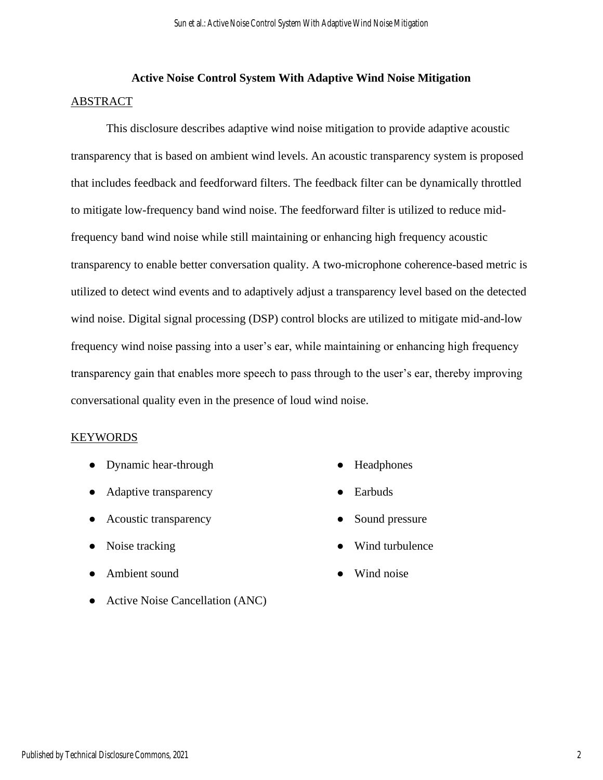## **Active Noise Control System With Adaptive Wind Noise Mitigation** ABSTRACT

This disclosure describes adaptive wind noise mitigation to provide adaptive acoustic transparency that is based on ambient wind levels. An acoustic transparency system is proposed that includes feedback and feedforward filters. The feedback filter can be dynamically throttled to mitigate low-frequency band wind noise. The feedforward filter is utilized to reduce midfrequency band wind noise while still maintaining or enhancing high frequency acoustic transparency to enable better conversation quality. A two-microphone coherence-based metric is utilized to detect wind events and to adaptively adjust a transparency level based on the detected wind noise. Digital signal processing (DSP) control blocks are utilized to mitigate mid-and-low frequency wind noise passing into a user's ear, while maintaining or enhancing high frequency transparency gain that enables more speech to pass through to the user's ear, thereby improving conversational quality even in the presence of loud wind noise.

## KEYWORDS

- Dynamic hear-through
- Adaptive transparency
- Acoustic transparency
- Noise tracking
- Ambient sound
- Active Noise Cancellation (ANC)
- Headphones
- **Earbuds**
- Sound pressure
- Wind turbulence
- Wind noise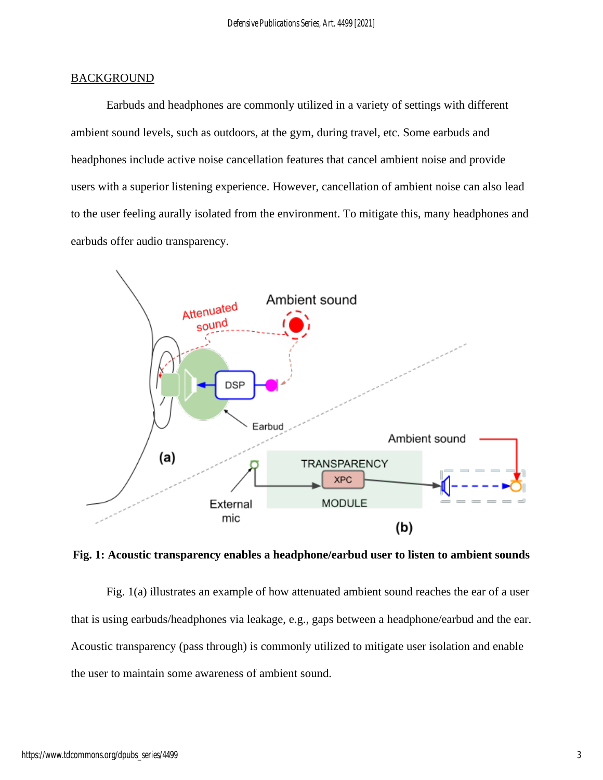## **BACKGROUND**

Earbuds and headphones are commonly utilized in a variety of settings with different ambient sound levels, such as outdoors, at the gym, during travel, etc. Some earbuds and headphones include active noise cancellation features that cancel ambient noise and provide users with a superior listening experience. However, cancellation of ambient noise can also lead to the user feeling aurally isolated from the environment. To mitigate this, many headphones and earbuds offer audio transparency.



**Fig. 1: Acoustic transparency enables a headphone/earbud user to listen to ambient sounds**

Fig. 1(a) illustrates an example of how attenuated ambient sound reaches the ear of a user that is using earbuds/headphones via leakage, e.g., gaps between a headphone/earbud and the ear. Acoustic transparency (pass through) is commonly utilized to mitigate user isolation and enable the user to maintain some awareness of ambient sound.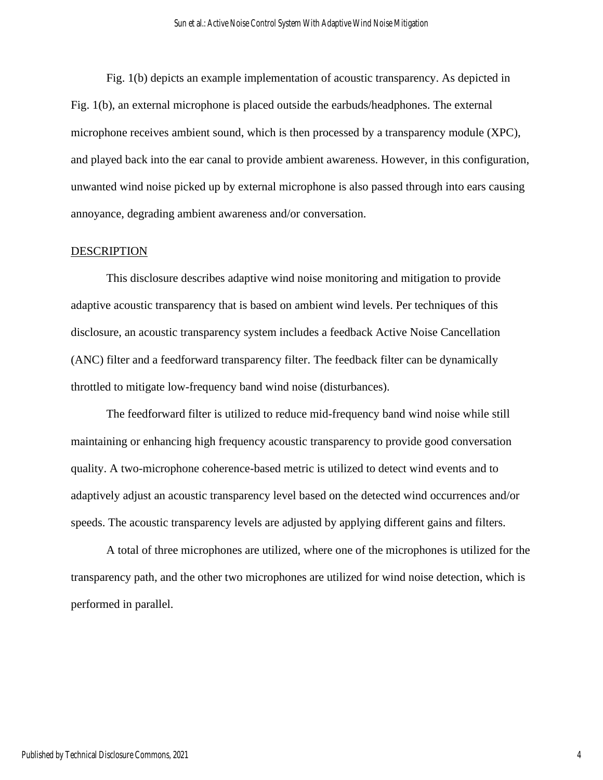Fig. 1(b) depicts an example implementation of acoustic transparency. As depicted in Fig. 1(b), an external microphone is placed outside the earbuds/headphones. The external microphone receives ambient sound, which is then processed by a transparency module (XPC), and played back into the ear canal to provide ambient awareness. However, in this configuration, unwanted wind noise picked up by external microphone is also passed through into ears causing annoyance, degrading ambient awareness and/or conversation.

#### **DESCRIPTION**

This disclosure describes adaptive wind noise monitoring and mitigation to provide adaptive acoustic transparency that is based on ambient wind levels. Per techniques of this disclosure, an acoustic transparency system includes a feedback Active Noise Cancellation (ANC) filter and a feedforward transparency filter. The feedback filter can be dynamically throttled to mitigate low-frequency band wind noise (disturbances).

The feedforward filter is utilized to reduce mid-frequency band wind noise while still maintaining or enhancing high frequency acoustic transparency to provide good conversation quality. A two-microphone coherence-based metric is utilized to detect wind events and to adaptively adjust an acoustic transparency level based on the detected wind occurrences and/or speeds. The acoustic transparency levels are adjusted by applying different gains and filters.

A total of three microphones are utilized, where one of the microphones is utilized for the transparency path, and the other two microphones are utilized for wind noise detection, which is performed in parallel.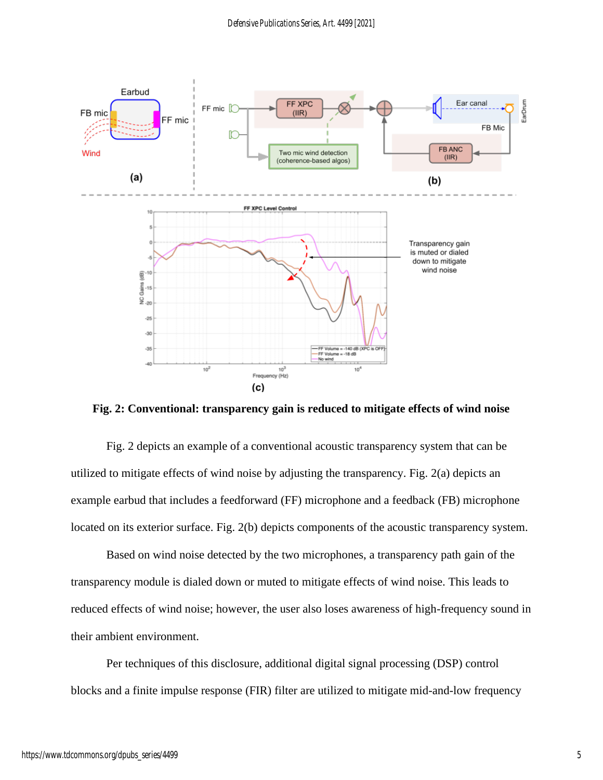

**Fig. 2: Conventional: transparency gain is reduced to mitigate effects of wind noise**

Fig. 2 depicts an example of a conventional acoustic transparency system that can be utilized to mitigate effects of wind noise by adjusting the transparency. Fig. 2(a) depicts an example earbud that includes a feedforward (FF) microphone and a feedback (FB) microphone located on its exterior surface. Fig. 2(b) depicts components of the acoustic transparency system.

Based on wind noise detected by the two microphones, a transparency path gain of the transparency module is dialed down or muted to mitigate effects of wind noise. This leads to reduced effects of wind noise; however, the user also loses awareness of high-frequency sound in their ambient environment.

Per techniques of this disclosure, additional digital signal processing (DSP) control blocks and a finite impulse response (FIR) filter are utilized to mitigate mid-and-low frequency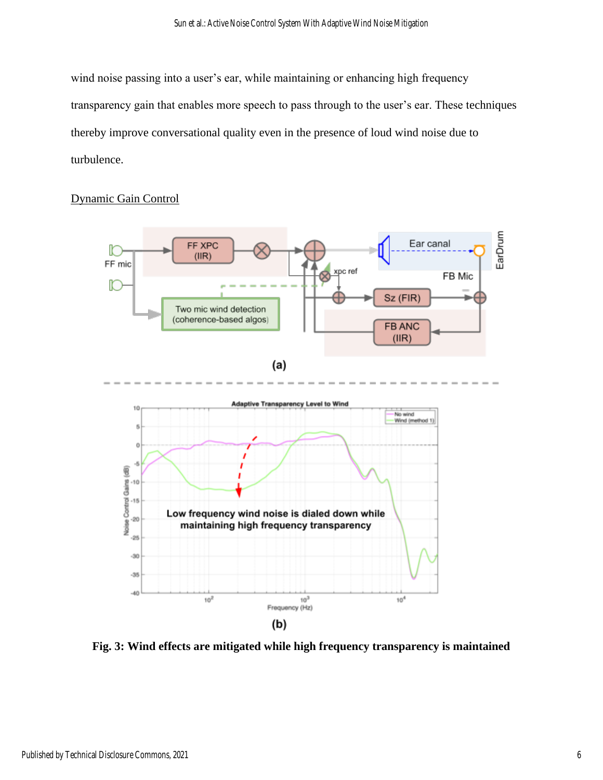wind noise passing into a user's ear, while maintaining or enhancing high frequency transparency gain that enables more speech to pass through to the user's ear. These techniques thereby improve conversational quality even in the presence of loud wind noise due to turbulence.



## Dynamic Gain Control

**Fig. 3: Wind effects are mitigated while high frequency transparency is maintained**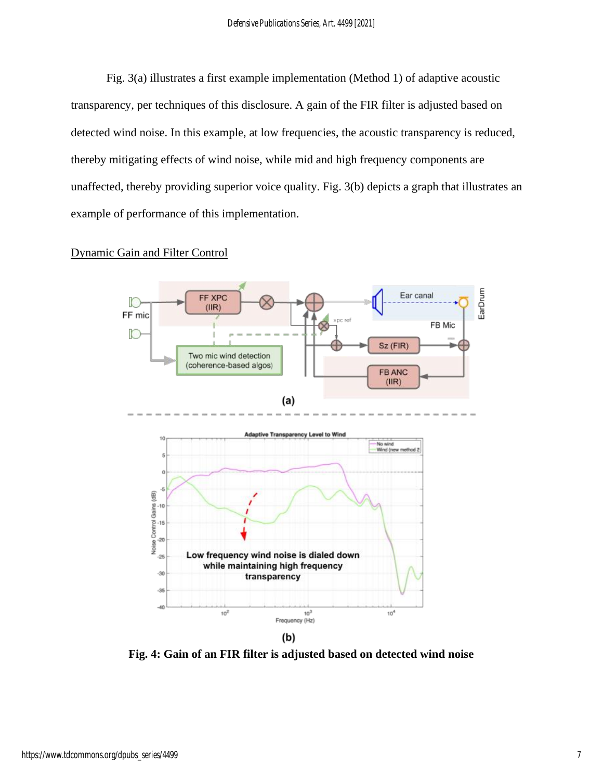Fig. 3(a) illustrates a first example implementation (Method 1) of adaptive acoustic transparency, per techniques of this disclosure. A gain of the FIR filter is adjusted based on detected wind noise. In this example, at low frequencies, the acoustic transparency is reduced, thereby mitigating effects of wind noise, while mid and high frequency components are unaffected, thereby providing superior voice quality. Fig. 3(b) depicts a graph that illustrates an example of performance of this implementation.

## Dynamic Gain and Filter Control



**Fig. 4: Gain of an FIR filter is adjusted based on detected wind noise**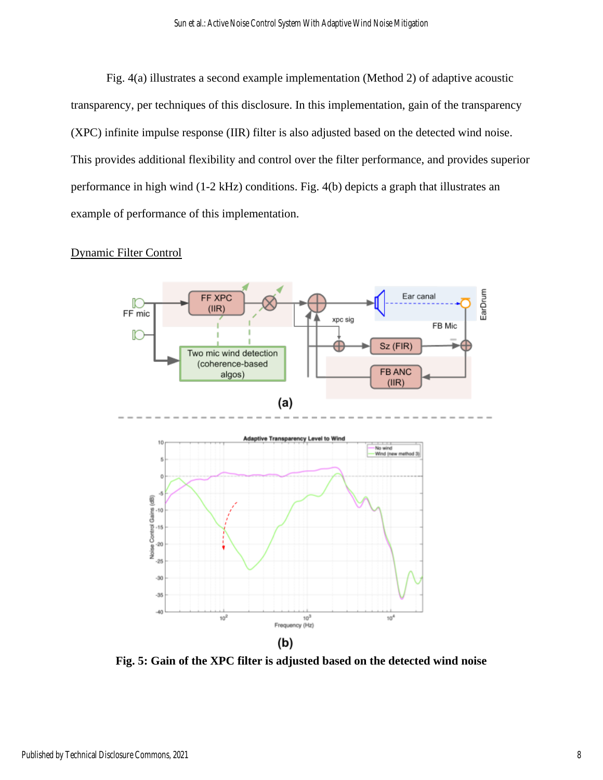Fig. 4(a) illustrates a second example implementation (Method 2) of adaptive acoustic transparency, per techniques of this disclosure. In this implementation, gain of the transparency (XPC) infinite impulse response (IIR) filter is also adjusted based on the detected wind noise. This provides additional flexibility and control over the filter performance, and provides superior performance in high wind (1-2 kHz) conditions. Fig. 4(b) depicts a graph that illustrates an example of performance of this implementation.

## Dynamic Filter Control



**Fig. 5: Gain of the XPC filter is adjusted based on the detected wind noise**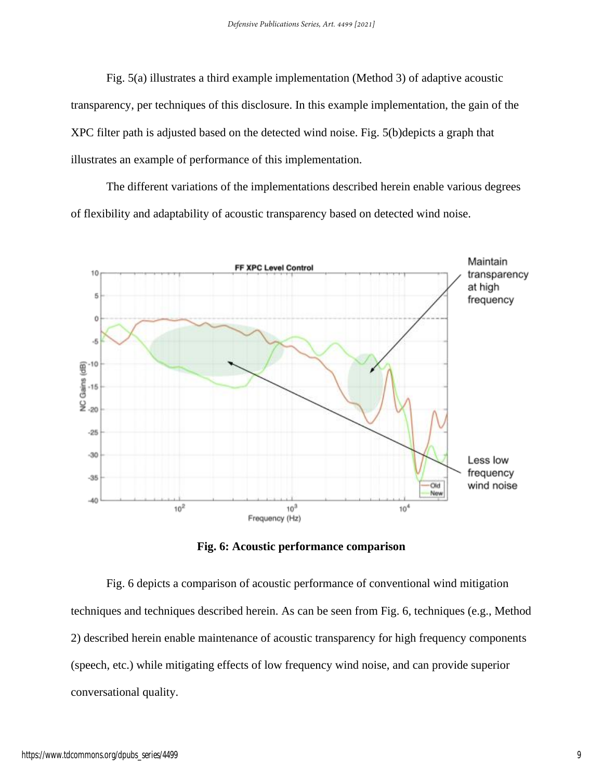Fig. 5(a) illustrates a third example implementation (Method 3) of adaptive acoustic transparency, per techniques of this disclosure. In this example implementation, the gain of the XPC filter path is adjusted based on the detected wind noise. Fig. 5(b)depicts a graph that illustrates an example of performance of this implementation.

The different variations of the implementations described herein enable various degrees of flexibility and adaptability of acoustic transparency based on detected wind noise.



**Fig. 6: Acoustic performance comparison**

Fig. 6 depicts a comparison of acoustic performance of conventional wind mitigation techniques and techniques described herein. As can be seen from Fig. 6, techniques (e.g., Method 2) described herein enable maintenance of acoustic transparency for high frequency components (speech, etc.) while mitigating effects of low frequency wind noise, and can provide superior conversational quality.